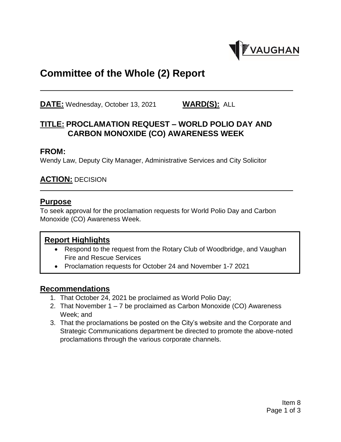

# **Committee of the Whole (2) Report**

**DATE:** Wednesday, October 13, 2021 **WARD(S):** ALL

### **TITLE: PROCLAMATION REQUEST – WORLD POLIO DAY AND CARBON MONOXIDE (CO) AWARENESS WEEK**

#### **FROM:**

Wendy Law, Deputy City Manager, Administrative Services and City Solicitor

#### **ACTION:** DECISION

#### **Purpose**

To seek approval for the proclamation requests for World Polio Day and Carbon Monoxide (CO) Awareness Week.

#### **Report Highlights**

- Respond to the request from the Rotary Club of Woodbridge, and Vaughan Fire and Rescue Services
- Proclamation requests for October 24 and November 1-7 2021

#### **Recommendations**

- 1. That October 24, 2021 be proclaimed as World Polio Day;
- 2. That November 1 7 be proclaimed as Carbon Monoxide (CO) Awareness Week; and
- 3. That the proclamations be posted on the City's website and the Corporate and Strategic Communications department be directed to promote the above-noted proclamations through the various corporate channels.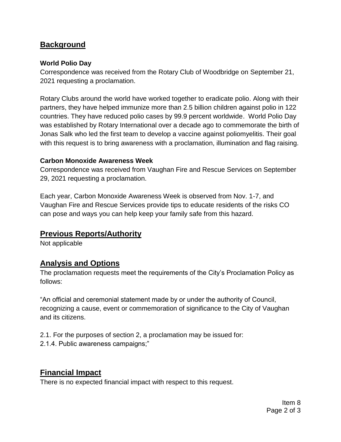### **Background**

#### **World Polio Day**

Correspondence was received from the Rotary Club of Woodbridge on September 21, 2021 requesting a proclamation.

Rotary Clubs around the world have worked together to eradicate polio. Along with their partners, they have helped immunize more than 2.5 billion children against polio in 122 countries. They have reduced polio cases by 99.9 percent worldwide. World Polio Day was established by Rotary International over a decade ago to commemorate the birth of Jonas Salk who led the first team to develop a vaccine against poliomyelitis. Their goal with this request is to bring awareness with a proclamation, illumination and flag raising.

#### **Carbon Monoxide Awareness Week**

Correspondence was received from Vaughan Fire and Rescue Services on September 29, 2021 requesting a proclamation.

Each year, Carbon Monoxide Awareness Week is observed from Nov. 1-7, and Vaughan Fire and Rescue Services provide tips to educate residents of the risks CO can pose and ways you can help keep your family safe from this hazard.

#### **Previous Reports/Authority**

Not applicable

### **Analysis and Options**

The proclamation requests meet the requirements of the City's Proclamation Policy as follows:

"An official and ceremonial statement made by or under the authority of Council, recognizing a cause, event or commemoration of significance to the City of Vaughan and its citizens.

2.1. For the purposes of section 2, a proclamation may be issued for:

2.1.4. Public awareness campaigns;"

### **Financial Impact**

There is no expected financial impact with respect to this request.